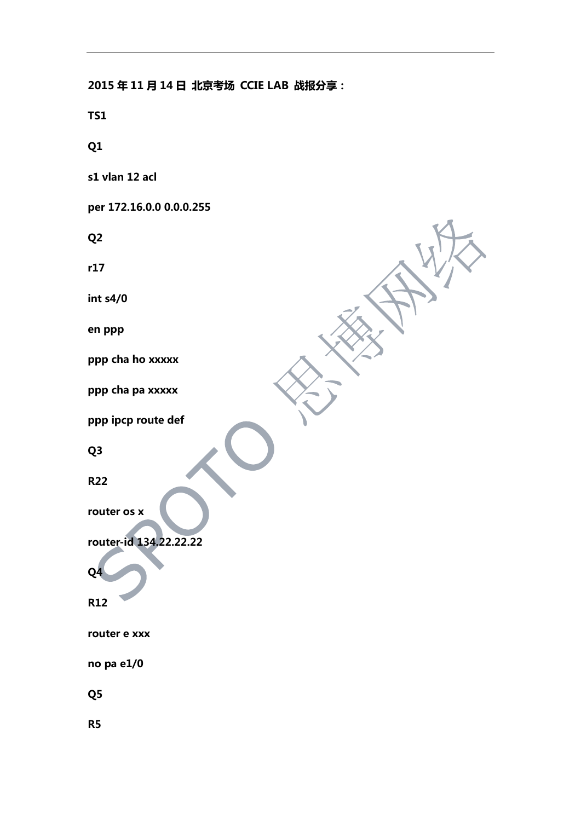**2015 年 11 月 14 日 北京考场 CCIE LAB 战报分享: TS1 Q1 s1 vlan 12 acl per 172.16.0.0 0.0.0.255 Q2 r17 int s4/0 en ppp ppp cha ho xxxxx ppp cha pa xxxxx ppp ipcp route def Q3 R22 router os x router-id 134.22.22.22 Q4 R12 router e xxx no pa e1/0 Q5 R5**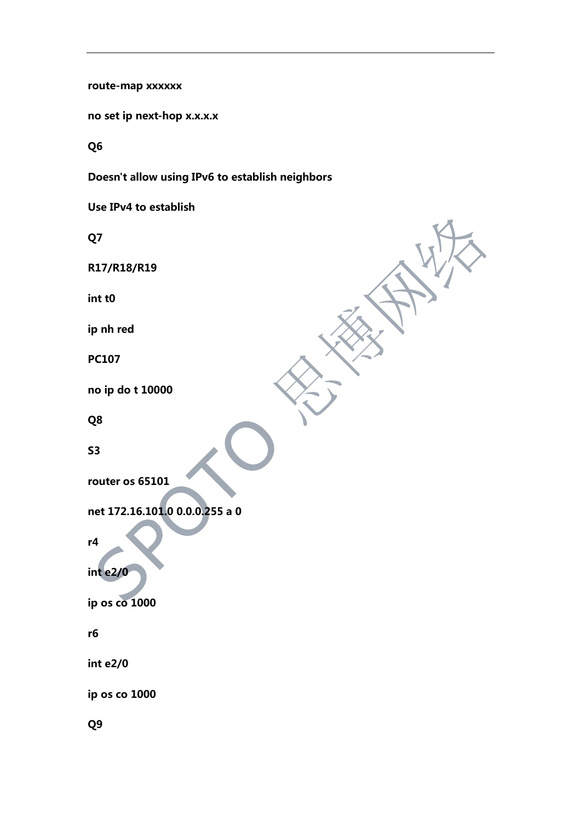route-map xxxxxx

no set ip next-hop x.x.x.x

Q<sub>6</sub>

Doesn't allow using IPv6 to establish neighbors

Use IPv4 to establish

Q7

R17/R18/R19

int t<sub>0</sub>

ip nh red

**PC107** 

no ip do t 10000

Q8

 $S<sub>3</sub>$ 

router os 65101

net 172.16.101.0 0.0.0.255 a 0

 $r4$ 

 $int e2/0$ 

ip os co 1000

r6

 $int e2/0$ 

ip os co 1000

Q<sub>9</sub>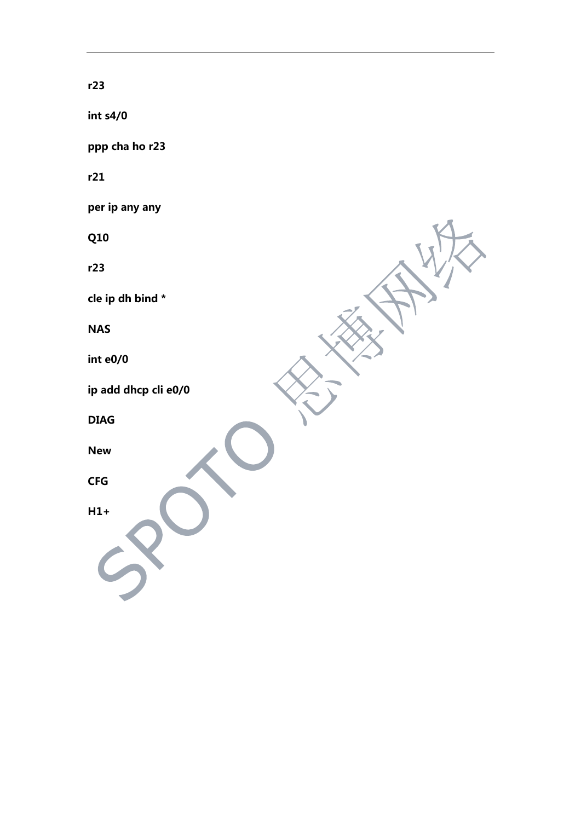**r23 int s4/0 ppp cha ho r23 r21 per ip any any Q10 r23 cle ip dh bind \* NAS int e0/0 ip add dhcp cli e0/0 DIAG New CFG H1+**